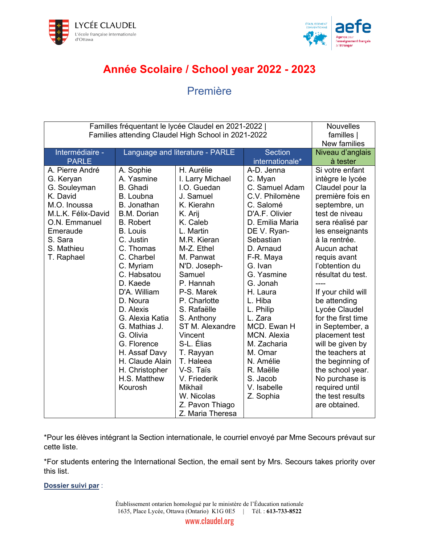



## **Année Scolaire / School year 2022 - 2023**

## Première

| Familles fréquentant le lycée Claudel en 2021-2022  <br>Families attending Claudel High School in 2021-2022                                                        |                                                                                                                                                                                                                                                                                                                                                                                                               |                                                                                                                                                                                                                                                                                                                                                                                                                             |                                                                                                                                                                                                                                                                                                                                                                                 | <b>Nouvelles</b><br>familles  <br><b>New families</b>                                                                                                                                                                                                                                                                                                                                                                                                                                                                 |
|--------------------------------------------------------------------------------------------------------------------------------------------------------------------|---------------------------------------------------------------------------------------------------------------------------------------------------------------------------------------------------------------------------------------------------------------------------------------------------------------------------------------------------------------------------------------------------------------|-----------------------------------------------------------------------------------------------------------------------------------------------------------------------------------------------------------------------------------------------------------------------------------------------------------------------------------------------------------------------------------------------------------------------------|---------------------------------------------------------------------------------------------------------------------------------------------------------------------------------------------------------------------------------------------------------------------------------------------------------------------------------------------------------------------------------|-----------------------------------------------------------------------------------------------------------------------------------------------------------------------------------------------------------------------------------------------------------------------------------------------------------------------------------------------------------------------------------------------------------------------------------------------------------------------------------------------------------------------|
| Intermédiaire -<br><b>PARLE</b>                                                                                                                                    | Language and literature - PARLE                                                                                                                                                                                                                                                                                                                                                                               |                                                                                                                                                                                                                                                                                                                                                                                                                             | <b>Section</b><br>internationale*                                                                                                                                                                                                                                                                                                                                               | Niveau d'anglais<br>à tester                                                                                                                                                                                                                                                                                                                                                                                                                                                                                          |
| A. Pierre André<br>G. Keryan<br>G. Souleyman<br>K. David<br>M.O. Inoussa<br>M.L.K. Félix-David<br>O.N. Emmanuel<br>Emeraude<br>S. Sara<br>S. Mathieu<br>T. Raphael | A. Sophie<br>A. Yasmine<br><b>B.</b> Ghadi<br>B. Loubna<br>B. Jonathan<br><b>B.M. Dorian</b><br><b>B.</b> Robert<br><b>B.</b> Louis<br>C. Justin<br>C. Thomas<br>C. Charbel<br>C. Myriam<br>C. Habsatou<br>D. Kaede<br>D'A. William<br>D. Noura<br>D. Alexis<br>G. Alexia Katia<br>G. Mathias J.<br>G. Olivia<br>G. Florence<br>H. Assaf Davy<br>H. Claude Alain<br>H. Christopher<br>H.S. Matthew<br>Kourosh | H. Aurélie<br>I. Larry Michael<br>I.O. Guedan<br>J. Samuel<br>K. Kierahn<br>K. Arij<br>K. Caleb<br>L. Martin<br>M.R. Kieran<br>M-Z. Ethel<br>M. Panwat<br>N'D. Joseph-<br>Samuel<br>P. Hannah<br>P-S. Marek<br>P. Charlotte<br>S. Rafaëlle<br>S. Anthony<br>ST M. Alexandre<br>Vincent<br>S-L. Élias<br>T. Rayyan<br>T. Haleea<br>V-S. Taïs<br>V. Friederik<br>Mikhail<br>W. Nicolas<br>Z. Pavon Thiago<br>Z. Maria Theresa | A-D. Jenna<br>C. Myan<br>C. Samuel Adam<br>C.V. Philomène<br>C. Salomé<br>D'A.F. Olivier<br>D. Emilia Maria<br>DE V. Ryan-<br>Sebastian<br>D. Arnaud<br>F-R. Maya<br>G. Ivan<br>G. Yasmine<br>G. Jonah<br>H. Laura<br>L. Hiba<br>L. Philip<br>L. Zara<br>MCD. Ewan H<br>MCN. Alexia<br>M. Zacharia<br>M. Omar<br>N. Amélie<br>R. Maëlle<br>S. Jacob<br>V. Isabelle<br>Z. Sophia | Si votre enfant<br>intègre le lycée<br>Claudel pour la<br>première fois en<br>septembre, un<br>test de niveau<br>sera réalisé par<br>les enseignants<br>à la rentrée.<br>Aucun achat<br>requis avant<br>l'obtention du<br>résultat du test.<br>If your child will<br>be attending<br>Lycée Claudel<br>for the first time<br>in September, a<br>placement test<br>will be given by<br>the teachers at<br>the beginning of<br>the school year.<br>No purchase is<br>required until<br>the test results<br>are obtained. |

\*Pour les élèves intégrant la Section internationale, le courriel envoyé par Mme Secours prévaut sur cette liste.

\*For students entering the International Section, the email sent by Mrs. Secours takes priority over this list.

**Dossier suivi par** :

Établissement ontarien homologué par le ministère de l'Éducation nationale 1635, Place Lycée, Ottawa (Ontario) K1G 0E5 | Tél. : **613-733-8522**